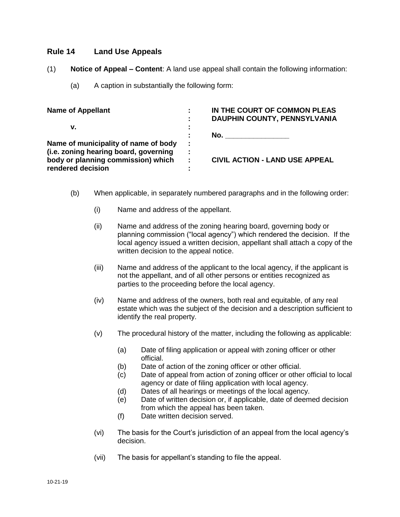## **Rule 14 Land Use Appeals**

- (1) **Notice of Appeal – Content**: A land use appeal shall contain the following information:
	- (a) A caption in substantially the following form:

| <b>Name of Appellant</b>                                                                         | ÷<br>÷<br>٠              | IN THE COURT OF COMMON PLEAS<br>DAUPHIN COUNTY, PENNSYLVANIA |
|--------------------------------------------------------------------------------------------------|--------------------------|--------------------------------------------------------------|
| v.<br>Name of municipality of name of body                                                       | $\blacksquare$<br>÷<br>÷ | No.                                                          |
| (i.e. zoning hearing board, governing<br>body or planning commission) which<br>rendered decision | ÷<br>$\mathbb{R}^2$<br>٠ | <b>CIVIL ACTION - LAND USE APPEAL</b>                        |

- (b) When applicable, in separately numbered paragraphs and in the following order:
	- (i) Name and address of the appellant.
	- (ii) Name and address of the zoning hearing board, governing body or planning commission ("local agency") which rendered the decision. If the local agency issued a written decision, appellant shall attach a copy of the written decision to the appeal notice.
	- (iii) Name and address of the applicant to the local agency, if the applicant is not the appellant, and of all other persons or entities recognized as parties to the proceeding before the local agency.
	- (iv) Name and address of the owners, both real and equitable, of any real estate which was the subject of the decision and a description sufficient to identify the real property.
	- (v) The procedural history of the matter, including the following as applicable:
		- (a) Date of filing application or appeal with zoning officer or other official.
		- (b) Date of action of the zoning officer or other official.
		- (c) Date of appeal from action of zoning officer or other official to local agency or date of filing application with local agency.
		- (d) Dates of all hearings or meetings of the local agency.
		- (e) Date of written decision or, if applicable, date of deemed decision from which the appeal has been taken.
		- (f) Date written decision served.
	- (vi) The basis for the Court's jurisdiction of an appeal from the local agency's decision.
	- (vii) The basis for appellant's standing to file the appeal.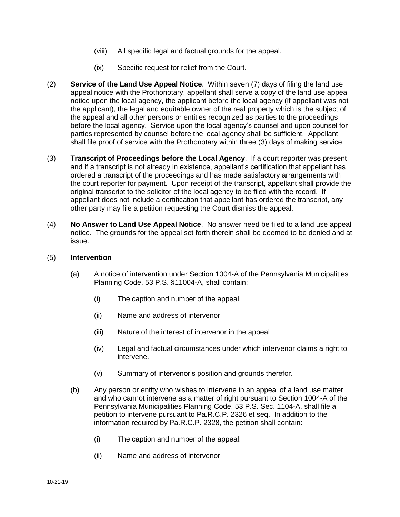- (viii) All specific legal and factual grounds for the appeal.
- (ix) Specific request for relief from the Court.
- (2) **Service of the Land Use Appeal Notice**. Within seven (7) days of filing the land use appeal notice with the Prothonotary, appellant shall serve a copy of the land use appeal notice upon the local agency, the applicant before the local agency (if appellant was not the applicant), the legal and equitable owner of the real property which is the subject of the appeal and all other persons or entities recognized as parties to the proceedings before the local agency. Service upon the local agency's counsel and upon counsel for parties represented by counsel before the local agency shall be sufficient. Appellant shall file proof of service with the Prothonotary within three (3) days of making service.
- (3) **Transcript of Proceedings before the Local Agency**. If a court reporter was present and if a transcript is not already in existence, appellant's certification that appellant has ordered a transcript of the proceedings and has made satisfactory arrangements with the court reporter for payment. Upon receipt of the transcript, appellant shall provide the original transcript to the solicitor of the local agency to be filed with the record. If appellant does not include a certification that appellant has ordered the transcript, any other party may file a petition requesting the Court dismiss the appeal.
- (4) **No Answer to Land Use Appeal Notice**. No answer need be filed to a land use appeal notice. The grounds for the appeal set forth therein shall be deemed to be denied and at issue.
- (5) **Intervention**
	- (a) A notice of intervention under Section 1004-A of the Pennsylvania Municipalities Planning Code, 53 P.S. §11004-A, shall contain:
		- (i) The caption and number of the appeal.
		- (ii) Name and address of intervenor
		- (iii) Nature of the interest of intervenor in the appeal
		- (iv) Legal and factual circumstances under which intervenor claims a right to intervene.
		- (v) Summary of intervenor's position and grounds therefor.
	- (b) Any person or entity who wishes to intervene in an appeal of a land use matter and who cannot intervene as a matter of right pursuant to Section 1004-A of the Pennsylvania Municipalities Planning Code, 53 P.S. Sec. 1104-A, shall file a petition to intervene pursuant to Pa.R.C.P. 2326 et seq. In addition to the information required by Pa.R.C.P. 2328, the petition shall contain:
		- (i) The caption and number of the appeal.
		- (ii) Name and address of intervenor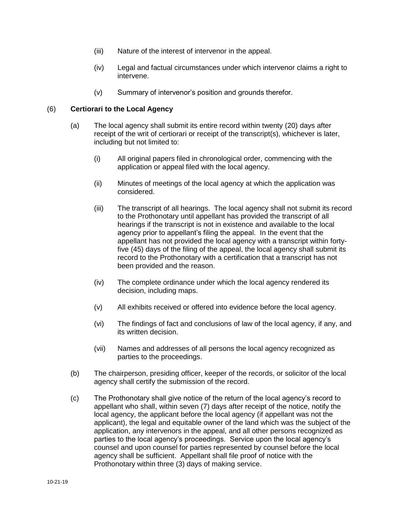- (iii) Nature of the interest of intervenor in the appeal.
- (iv) Legal and factual circumstances under which intervenor claims a right to intervene.
- (v) Summary of intervenor's position and grounds therefor.

## (6) **Certiorari to the Local Agency**

- (a) The local agency shall submit its entire record within twenty (20) days after receipt of the writ of certiorari or receipt of the transcript(s), whichever is later, including but not limited to:
	- (i) All original papers filed in chronological order, commencing with the application or appeal filed with the local agency.
	- (ii) Minutes of meetings of the local agency at which the application was considered.
	- (iii) The transcript of all hearings. The local agency shall not submit its record to the Prothonotary until appellant has provided the transcript of all hearings if the transcript is not in existence and available to the local agency prior to appellant's filing the appeal. In the event that the appellant has not provided the local agency with a transcript within fortyfive (45) days of the filing of the appeal, the local agency shall submit its record to the Prothonotary with a certification that a transcript has not been provided and the reason.
	- (iv) The complete ordinance under which the local agency rendered its decision, including maps.
	- (v) All exhibits received or offered into evidence before the local agency.
	- (vi) The findings of fact and conclusions of law of the local agency, if any, and its written decision.
	- (vii) Names and addresses of all persons the local agency recognized as parties to the proceedings.
- (b) The chairperson, presiding officer, keeper of the records, or solicitor of the local agency shall certify the submission of the record.
- (c) The Prothonotary shall give notice of the return of the local agency's record to appellant who shall, within seven (7) days after receipt of the notice, notify the local agency, the applicant before the local agency (if appellant was not the applicant), the legal and equitable owner of the land which was the subject of the application, any intervenors in the appeal, and all other persons recognized as parties to the local agency's proceedings. Service upon the local agency's counsel and upon counsel for parties represented by counsel before the local agency shall be sufficient. Appellant shall file proof of notice with the Prothonotary within three (3) days of making service.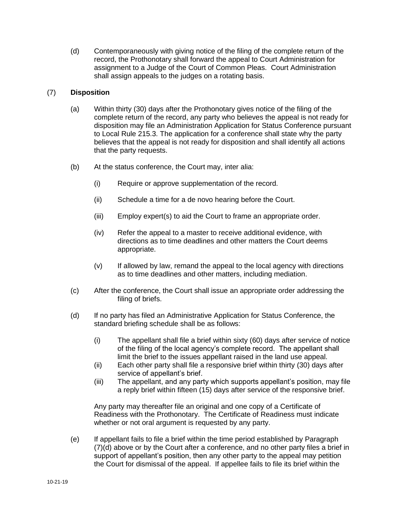(d) Contemporaneously with giving notice of the filing of the complete return of the record, the Prothonotary shall forward the appeal to Court Administration for assignment to a Judge of the Court of Common Pleas. Court Administration shall assign appeals to the judges on a rotating basis.

## (7) **Disposition**

- (a) Within thirty (30) days after the Prothonotary gives notice of the filing of the complete return of the record, any party who believes the appeal is not ready for disposition may file an Administration Application for Status Conference pursuant to Local Rule 215.3. The application for a conference shall state why the party believes that the appeal is not ready for disposition and shall identify all actions that the party requests.
- (b) At the status conference, the Court may, inter alia:
	- (i) Require or approve supplementation of the record.
	- (ii) Schedule a time for a de novo hearing before the Court.
	- (iii) Employ expert(s) to aid the Court to frame an appropriate order.
	- (iv) Refer the appeal to a master to receive additional evidence, with directions as to time deadlines and other matters the Court deems appropriate.
	- (v) If allowed by law, remand the appeal to the local agency with directions as to time deadlines and other matters, including mediation.
- (c) After the conference, the Court shall issue an appropriate order addressing the filing of briefs.
- (d) If no party has filed an Administrative Application for Status Conference, the standard briefing schedule shall be as follows:
	- (i) The appellant shall file a brief within sixty (60) days after service of notice of the filing of the local agency's complete record. The appellant shall limit the brief to the issues appellant raised in the land use appeal.
	- (ii) Each other party shall file a responsive brief within thirty (30) days after service of appellant's brief.
	- (iii) The appellant, and any party which supports appellant's position, may file a reply brief within fifteen (15) days after service of the responsive brief.

Any party may thereafter file an original and one copy of a Certificate of Readiness with the Prothonotary. The Certificate of Readiness must indicate whether or not oral argument is requested by any party.

(e) If appellant fails to file a brief within the time period established by Paragraph (7)(d) above or by the Court after a conference, and no other party files a brief in support of appellant's position, then any other party to the appeal may petition the Court for dismissal of the appeal. If appellee fails to file its brief within the